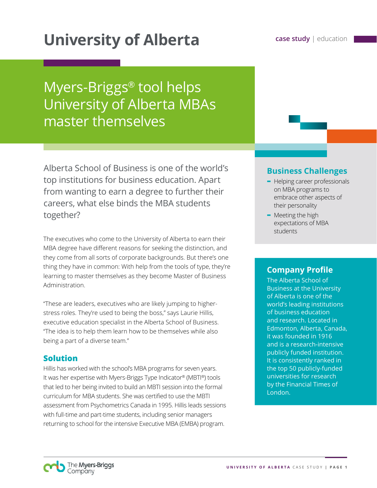# **University of Alberta case study | education**

## Myers-Briggs® tool helps University of Alberta MBAs master themselves

Alberta School of Business is one of the world's top institutions for business education. Apart from wanting to earn a degree to further their careers, what else binds the MBA students together?

The executives who come to the University of Alberta to earn their MBA degree have different reasons for seeking the distinction, and they come from all sorts of corporate backgrounds. But there's one thing they have in common: With help from the tools of type, they're learning to master themselves as they become Master of Business Administration.

"These are leaders, executives who are likely jumping to higherstress roles. They're used to being the boss," says Laurie Hillis, executive education specialist in the Alberta School of Business. "The idea is to help them learn how to be themselves while also being a part of a diverse team."

#### **Solution**

Hillis has worked with the school's MBA programs for seven years. It was her expertise with Myers-Briggs Type Indicator® (MBTI®) tools that led to her being invited to build an MBTI session into the formal curriculum for MBA students. She was certified to use the MBTI assessment from Psychometrics Canada in 1995. Hillis leads sessions with full-time and part-time students, including senior managers returning to school for the intensive Executive MBA (EMBA) program.

#### **Business Challenges**

- **-** Helping career professionals on MBA programs to embrace other aspects of their personality
- **-** Meeting the high expectations of MBA students

#### **Company Profile**

The Alberta School of Business at the University of Alberta is one of the world's leading institutions of business education and research. Located in Edmonton, Alberta, Canada, it was founded in 1916 and is a research-intensive publicly funded institution. It is consistently ranked in the top 50 publicly-funded universities for research by the Financial Times of London.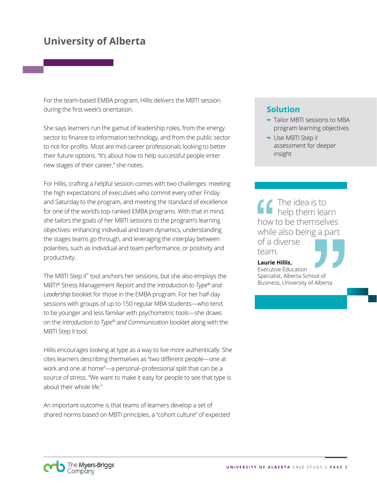## **University of Alberta**

For the team-based EMBA program, Hillis delivers the MBTI session during the first week's orientation.

She says learners run the gamut of leadership roles, from the energy sector to finance to information technology, and from the public sector to not-for-profits. Most are mid-career professionals looking to better their future options. "It's about how to help successful people enter new stages of their career," she notes.

For Hillis, crafting a helpful session comes with two challenges: meeting the high expectations of executives who commit every other Friday and Saturday to the program, and meeting the standard of excellence for one of the world's top-ranked EMBA programs. With that in mind, she tailors the goals of her MBTI sessions to the program's learning objectives: enhancing individual and team dynamics, understanding the stages teams go through, and leveraging the interplay between polarities, such as individual and team performance, or positivity and productivity.

The MBTI Step II™ tool anchors her sessions, but she also employs the MBTI® Stress Management Report and the *Introduction to Type® and Leadership* booklet for those in the EMBA program. For her half-day sessions with groups of up to 150 regular MBA students—who tend to be younger and less familiar with psychometric tools—she draws on the *Introduction to Type® and Communication* booklet along with the MBTI Step II tool.

Hillis encourages looking at type as a way to live more authentically. She cites learners describing themselves as "two different people—one at work and one at home"—a personal–professional split that can be a source of stress. "We want to make it easy for people to see that type is about their whole life."

An important outcome is that teams of learners develop a set of shared norms based on MBTI principles, a "cohort culture" of expected

#### **Solution**

- **-** Tailor MBTI sessions to MBA program learning objectives
- **-** Use MBTI Step II assessment for deeper insight

The idea is to help them learn how to be themselves while also being a part of a diverse team.

**Laurie Hillis,**  Executive Education Specialist, Alberta School of Business, University of Alberta

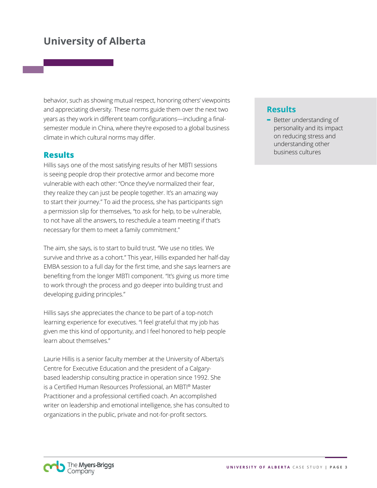## **University of Alberta**

behavior, such as showing mutual respect, honoring others' viewpoints and appreciating diversity. These norms guide them over the next two years as they work in different team configurations—including a finalsemester module in China, where they're exposed to a global business climate in which cultural norms may differ.

#### **Results**

Hillis says one of the most satisfying results of her MBTI sessions is seeing people drop their protective armor and become more vulnerable with each other: "Once they've normalized their fear, they realize they can just be people together. It's an amazing way to start their journey." To aid the process, she has participants sign a permission slip for themselves, "to ask for help, to be vulnerable, to not have all the answers, to reschedule a team meeting if that's necessary for them to meet a family commitment."

The aim, she says, is to start to build trust. "We use no titles. We survive and thrive as a cohort." This year, Hillis expanded her half-day EMBA session to a full day for the first time, and she says learners are benefiting from the longer MBTI component. "It's giving us more time to work through the process and go deeper into building trust and developing guiding principles."

Hillis says she appreciates the chance to be part of a top-notch learning experience for executives. "I feel grateful that my job has given me this kind of opportunity, and I feel honored to help people learn about themselves."

Laurie Hillis is a senior faculty member at the University of Alberta's Centre for Executive Education and the president of a Calgarybased leadership consulting practice in operation since 1992. She is a Certified Human Resources Professional, an MBTI® Master Practitioner and a professional certified coach. An accomplished writer on leadership and emotional intelligence, she has consulted to organizations in the public, private and not-for-profit sectors.

#### **Results**

**-** Better understanding of personality and its impact on reducing stress and understanding other business cultures